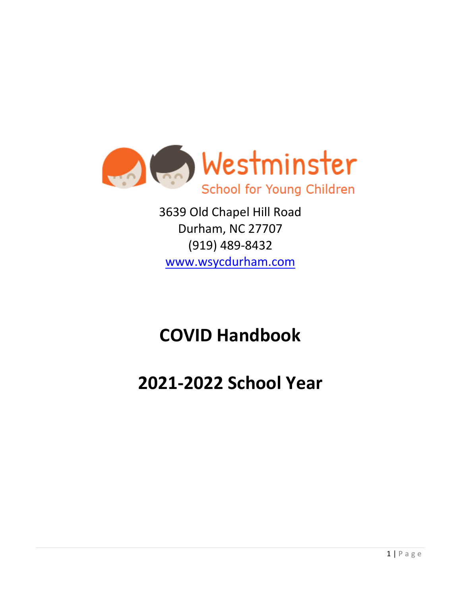

3639 Old Chapel Hill Road Durham, NC 27707 (919) 489-8432 [www.wsycdurham.com](http://www.wsycdurham.com/)

# **COVID Handbook**

# **2021-2022 School Year**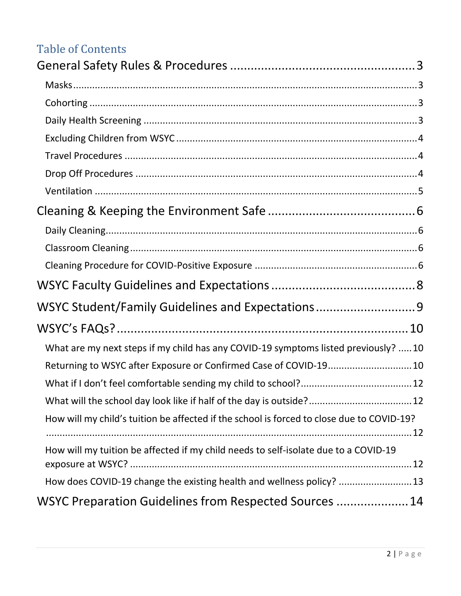## Table of Contents

| WSYC Student/Family Guidelines and Expectations9                                          |
|-------------------------------------------------------------------------------------------|
|                                                                                           |
| What are my next steps if my child has any COVID-19 symptoms listed previously? 10        |
| Returning to WSYC after Exposure or Confirmed Case of COVID-19 10                         |
|                                                                                           |
| What will the school day look like if half of the day is outside? 12                      |
| How will my child's tuition be affected if the school is forced to close due to COVID-19? |
| How will my tuition be affected if my child needs to self-isolate due to a COVID-19       |
|                                                                                           |
| How does COVID-19 change the existing health and wellness policy?  13                     |
| WSYC Preparation Guidelines from Respected Sources  14                                    |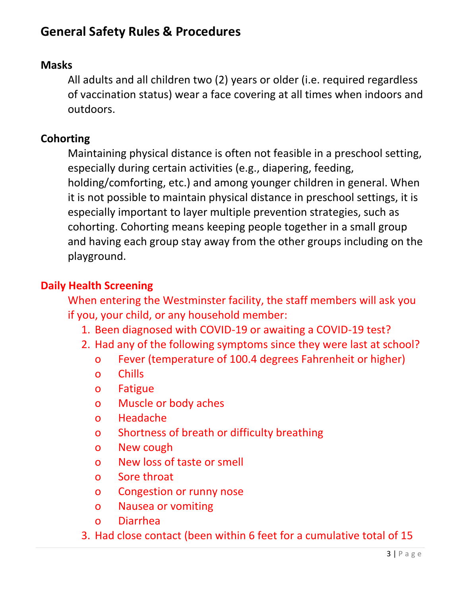# <span id="page-2-0"></span>**General Safety Rules & Procedures**

#### <span id="page-2-1"></span>**Masks**

All adults and all children two (2) years or older (i.e. required regardless of vaccination status) wear a face covering at all times when indoors and outdoors.

#### <span id="page-2-2"></span>**Cohorting**

Maintaining physical distance is often not feasible in a preschool setting, especially during certain activities (e.g., diapering, feeding, holding/comforting, etc.) and among younger children in general. When it is not possible to maintain physical distance in preschool settings, it is especially important to layer multiple prevention strategies, such as cohorting. Cohorting means keeping people together in a small group and having each group stay away from the other groups including on the playground.

#### <span id="page-2-3"></span>**Daily Health Screening**

When entering the Westminster facility, the staff members will ask you if you, your child, or any household member:

- 1. Been diagnosed with COVID-19 or awaiting a COVID-19 test?
- 2. Had any of the following symptoms since they were last at school?
	- o Fever (temperature of 100.4 degrees Fahrenheit or higher)
	- o Chills
	- o Fatigue
	- o Muscle or body aches
	- o Headache
	- o Shortness of breath or difficulty breathing
	- o New cough
	- o New loss of taste or smell
	- o Sore throat
	- o Congestion or runny nose
	- o Nausea or vomiting
	- o Diarrhea
- 3. Had close contact (been within 6 feet for a cumulative total of 15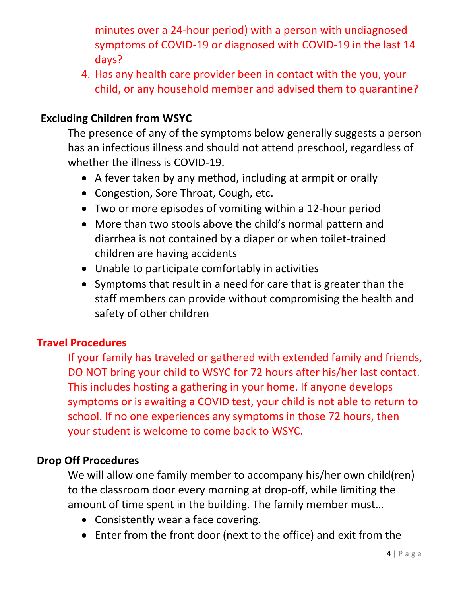minutes over a 24-hour period) with a person with undiagnosed symptoms of COVID-19 or diagnosed with COVID-19 in the last 14 days?

4. Has any health care provider been in contact with the you, your child, or any household member and advised them to quarantine?

### <span id="page-3-0"></span>**Excluding Children from WSYC**

The presence of any of the symptoms below generally suggests a person has an infectious illness and should not attend preschool, regardless of whether the illness is COVID-19.

- A fever taken by any method, including at armpit or orally
- Congestion, Sore Throat, Cough, etc.
- Two or more episodes of vomiting within a 12-hour period
- More than two stools above the child's normal pattern and diarrhea is not contained by a diaper or when toilet-trained children are having accidents
- Unable to participate comfortably in activities
- Symptoms that result in a need for care that is greater than the staff members can provide without compromising the health and safety of other children

#### <span id="page-3-1"></span>**Travel Procedures**

If your family has traveled or gathered with extended family and friends, DO NOT bring your child to WSYC for 72 hours after his/her last contact. This includes hosting a gathering in your home. If anyone develops symptoms or is awaiting a COVID test, your child is not able to return to school. If no one experiences any symptoms in those 72 hours, then your student is welcome to come back to WSYC.

#### <span id="page-3-2"></span>**Drop Off Procedures**

We will allow one family member to accompany his/her own child(ren) to the classroom door every morning at drop-off, while limiting the amount of time spent in the building. The family member must…

- Consistently wear a face covering.
- Enter from the front door (next to the office) and exit from the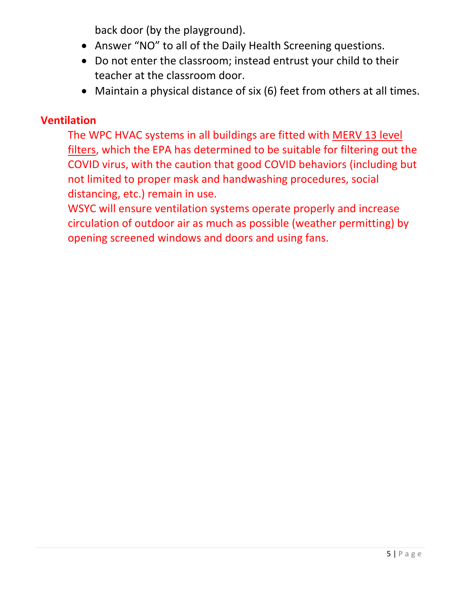back door (by the playground).

- Answer "NO" to all of the Daily Health Screening questions.
- Do not enter the classroom; instead entrust your child to their teacher at the classroom door.
- Maintain a physical distance of six (6) feet from others at all times.

#### <span id="page-4-0"></span>**Ventilation**

The WPC HVAC systems in all buildings are fitted with [MERV 13 level](https://www.epa.gov/coronavirus/what-kind-filter-should-i-use-my-home-hvac-system-help-protect-my-family-covid-19)  [filters,](https://www.epa.gov/coronavirus/what-kind-filter-should-i-use-my-home-hvac-system-help-protect-my-family-covid-19) which the EPA has determined to be suitable for filtering out the COVID virus, with the caution that good COVID behaviors (including but not limited to proper mask and handwashing procedures, social distancing, etc.) remain in use.

WSYC will ensure ventilation systems operate properly and increase circulation of outdoor air as much as possible (weather permitting) by opening screened windows and doors and using fans.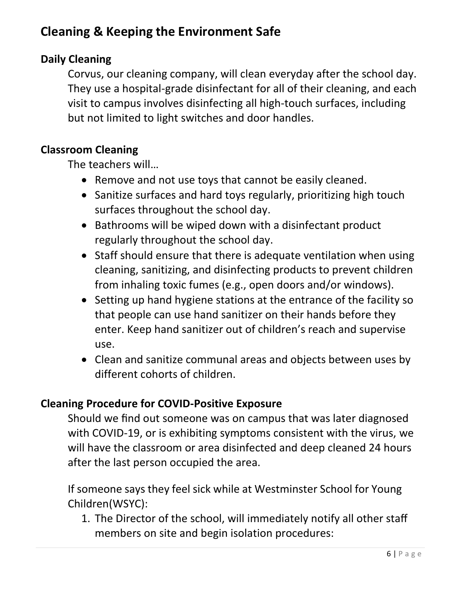# <span id="page-5-0"></span>**Cleaning & Keeping the Environment Safe**

## <span id="page-5-1"></span>**Daily Cleaning**

Corvus, our cleaning company, will clean everyday after the school day. They use a hospital-grade disinfectant for all of their cleaning, and each visit to campus involves disinfecting all high-touch surfaces, including but not limited to light switches and door handles.

#### <span id="page-5-2"></span>**Classroom Cleaning**

The teachers will…

- Remove and not use toys that cannot be easily cleaned.
- Sanitize surfaces and hard toys regularly, prioritizing high touch surfaces throughout the school day.
- Bathrooms will be wiped down with a disinfectant product regularly throughout the school day.
- Staff should ensure that there is adequate ventilation when using cleaning, sanitizing, and disinfecting products to prevent children from inhaling toxic fumes (e.g., open doors and/or windows).
- Setting up hand hygiene stations at the entrance of the facility so that people can use hand sanitizer on their hands before they enter. Keep hand sanitizer out of children's reach and supervise use.
- Clean and sanitize communal areas and objects between uses by different cohorts of children.

#### <span id="page-5-3"></span>**Cleaning Procedure for COVID-Positive Exposure**

Should we find out someone was on campus that was later diagnosed with COVID-19, or is exhibiting symptoms consistent with the virus, we will have the classroom or area disinfected and deep cleaned 24 hours after the last person occupied the area.

If someone says they feel sick while at Westminster School for Young Children(WSYC):

1. The Director of the school, will immediately notify all other staff members on site and begin isolation procedures: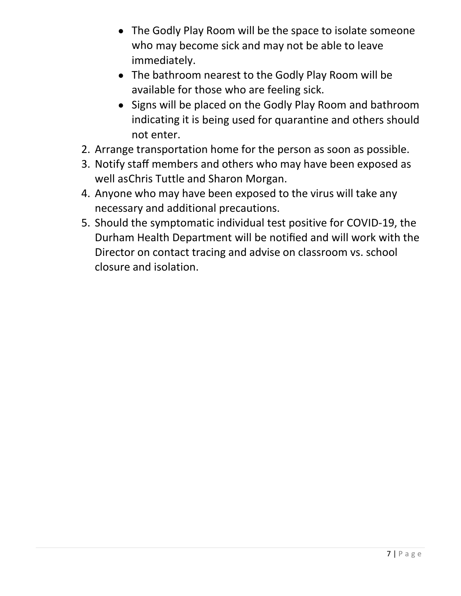- The Godly Play Room will be the space to isolate someone who may become sick and may not be able to leave immediately.
- The bathroom nearest to the Godly Play Room will be available for those who are feeling sick.
- Signs will be placed on the Godly Play Room and bathroom indicating it is being used for quarantine and others should not enter.
- 2. Arrange transportation home for the person as soon as possible.
- 3. Notify staff members and others who may have been exposed as well as Chris Tuttle and Sharon Morgan.
- 4. Anyone who may have been exposed to the virus will take any necessary and additional precautions.
- 5. Should the symptomatic individual test positive for COVID-19, the Durham Health Department will be notified and will work with the Director on contact tracing and advise on classroom vs. school closure and isolation.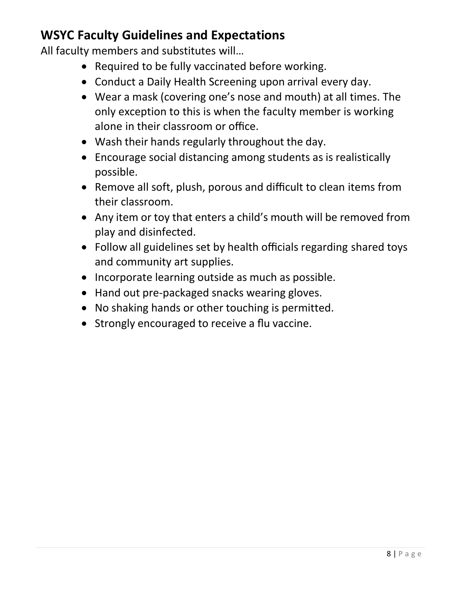# <span id="page-7-0"></span>**WSYC Faculty Guidelines and Expectations**

All faculty members and substitutes will…

- Required to be fully vaccinated before working.
- Conduct a Daily Health Screening upon arrival every day.
- Wear a mask (covering one's nose and mouth) at all times. The only exception to this is when the faculty member is working alone in their classroom or office.
- Wash their hands regularly throughout the day.
- Encourage social distancing among students as is realistically possible.
- Remove all soft, plush, porous and difficult to clean items from their classroom.
- Any item or toy that enters a child's mouth will be removed from play and disinfected.
- Follow all guidelines set by health officials regarding shared toys and community art supplies.
- Incorporate learning outside as much as possible.
- Hand out pre-packaged snacks wearing gloves.
- No shaking hands or other touching is permitted.
- Strongly encouraged to receive a flu vaccine.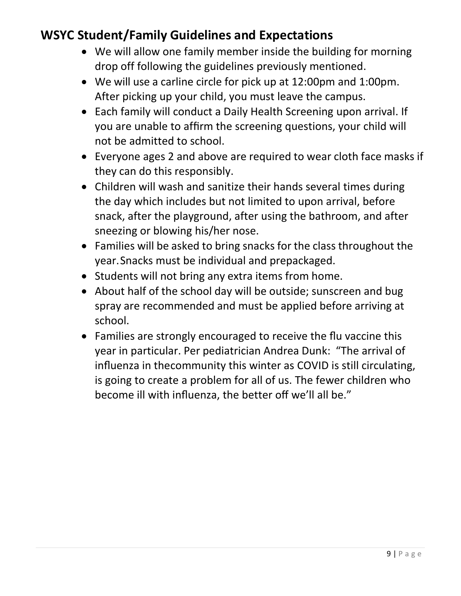# <span id="page-8-0"></span>**WSYC Student/Family Guidelines and Expectations**

- We will allow one family member inside the building for morning drop off following the guidelines previously mentioned.
- We will use a carline circle for pick up at 12:00pm and 1:00pm. After picking up your child, you must leave the campus.
- Each family will conduct a Daily Health Screening upon arrival. If you are unable to affirm the screening questions, your child will not be admitted to school.
- Everyone ages 2 and above are required to wear cloth face masks if they can do this responsibly.
- Children will wash and sanitize their hands several times during the day which includes but not limited to upon arrival, before snack, after the playground, after using the bathroom, and after sneezing or blowing his/her nose.
- Families will be asked to bring snacks for the class throughout the year. Snacks must be individual and prepackaged.
- Students will not bring any extra items from home.
- About half of the school day will be outside; sunscreen and bug spray are recommended and must be applied before arriving at school.
- Families are strongly encouraged to receive the flu vaccine this year in particular. Per pediatrician Andrea Dunk: "The arrival of influenza in thecommunity this winter as COVID is still circulating, is going to create a problem for all of us. The fewer children who become ill with influenza, the better off we'll all be."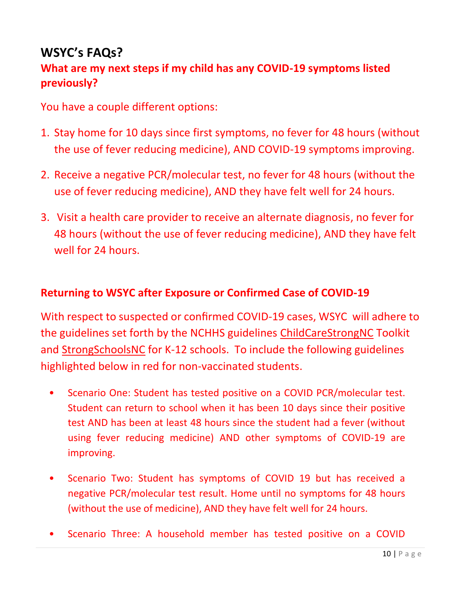# <span id="page-9-0"></span>**WSYC's FAQs?**

## <span id="page-9-1"></span>**What are my next steps if my child has any COVID-19 symptoms listed previously?**

You have a couple different options:

- 1. Stay home for 10 days since first symptoms, no fever for 48 hours (without the use of fever reducing medicine), AND COVID-19 symptoms improving.
- 2. Receive a negative PCR/molecular test, no fever for 48 hours (without the use of fever reducing medicine), AND they have felt well for 24 hours.
- 3. Visit a health care provider to receive an alternate diagnosis, no fever for 48 hours (without the use of fever reducing medicine), AND they have felt well for 24 hours.

#### <span id="page-9-2"></span>**Returning to WSYC after Exposure or Confirmed Case of COVID-19**

With respect to suspected or confirmed COVID-19 cases, WSYC will adhere to the guidelines set forth by the NCHHS guidelines [ChildCareStrongNC](https://covid19.ncdhhs.gov/media/3091/open) Toolkit and [StrongSchoolsNC](https://covid19.ncdhhs.gov/media/164/download) for K-12 schools. To include the following guidelines highlighted below in red for non-vaccinated students.

- Scenario One: Student has tested positive on a COVID PCR/molecular test. Student can return to school when it has been 10 days since their positive test AND has been at least 48 hours since the student had a fever (without using fever reducing medicine) AND other symptoms of COVID-19 are improving.
- Scenario Two: Student has symptoms of COVID 19 but has received a negative PCR/molecular test result. Home until no symptoms for 48 hours (without the use of medicine), AND they have felt well for 24 hours.
- Scenario Three: A household member has tested positive on a COVID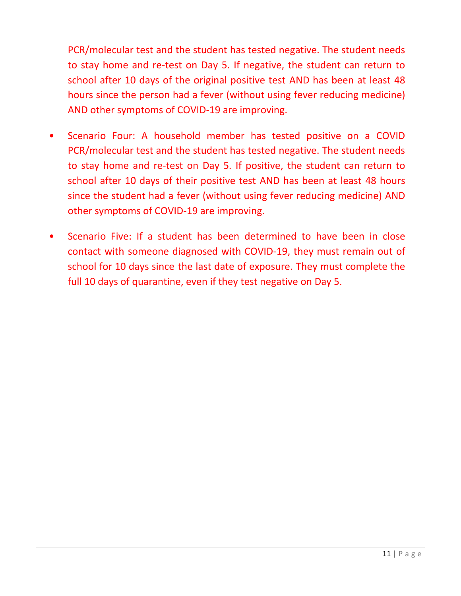PCR/molecular test and the student has tested negative. The student needs to stay home and re-test on Day 5. If negative, the student can return to school after 10 days of the original positive test AND has been at least 48 hours since the person had a fever (without using fever reducing medicine) AND other symptoms of COVID-19 are improving.

- Scenario Four: A household member has tested positive on a COVID PCR/molecular test and the student has tested negative. The student needs to stay home and re-test on Day 5. If positive, the student can return to school after 10 days of their positive test AND has been at least 48 hours since the student had a fever (without using fever reducing medicine) AND other symptoms of COVID-19 are improving.
- Scenario Five: If a student has been determined to have been in close contact with someone diagnosed with COVID-19, they must remain out of school for 10 days since the last date of exposure. They must complete the full 10 days of quarantine, even if they test negative on Day 5.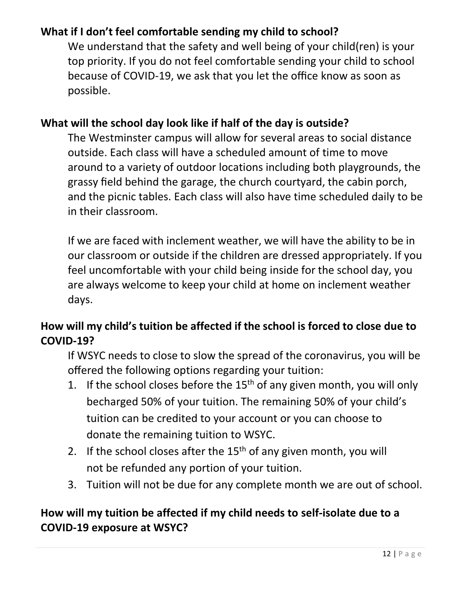## <span id="page-11-0"></span>**What if I don't feel comfortable sending my child to school?**

We understand that the safety and well being of your child(ren) is your top priority. If you do not feel comfortable sending your child to school because of COVID-19, we ask that you let the office know as soon as possible.

#### <span id="page-11-1"></span>**What will the school day look like if half of the day is outside?**

The Westminster campus will allow for several areas to social distance outside. Each class will have a scheduled amount of time to move around to a variety of outdoor locations including both playgrounds, the grassy field behind the garage, the church courtyard, the cabin porch, and the picnic tables. Each class will also have time scheduled daily to be in their classroom.

If we are faced with inclement weather, we will have the ability to be in our classroom or outside if the children are dressed appropriately. If you feel uncomfortable with your child being inside for the school day, you are always welcome to keep your child at home on inclement weather days.

## <span id="page-11-2"></span>**How will my child's tuition be affected if the school is forced to close due to COVID-19?**

If WSYC needs to close to slow the spread of the coronavirus, you will be offered the following options regarding your tuition:

- 1. If the school closes before the  $15<sup>th</sup>$  of any given month, you will only becharged 50% of your tuition. The remaining 50% of your child's tuition can be credited to your account or you can choose to donate the remaining tuition to WSYC.
- 2. If the school closes after the  $15<sup>th</sup>$  of any given month, you will not be refunded any portion of your tuition.
- 3. Tuition will not be due for any complete month we are out of school.

## <span id="page-11-3"></span>**How will my tuition be affected if my child needs to self-isolate due to a COVID-19 exposure at WSYC?**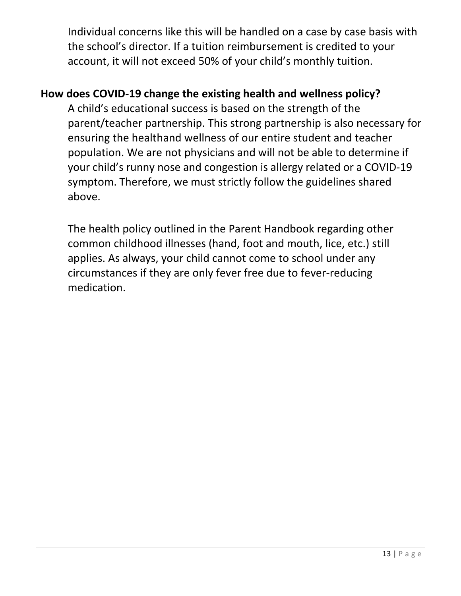Individual concerns like this will be handled on a case by case basis with the school's director. If a tuition reimbursement is credited to your account, it will not exceed 50% of your child's monthly tuition.

## <span id="page-12-0"></span>**How does COVID-19 change the existing health and wellness policy?**

A child's educational success is based on the strength of the parent/teacher partnership. This strong partnership is also necessary for ensuring the healthand wellness of our entire student and teacher population. We are not physicians and will not be able to determine if your child's runny nose and congestion is allergy related or a COVID-19 symptom. Therefore, we must strictly follow the guidelines shared above.

The health policy outlined in the Parent Handbook regarding other common childhood illnesses (hand, foot and mouth, lice, etc.) still applies. As always, your child cannot come to school under any circumstances if they are only fever free due to fever-reducing medication.